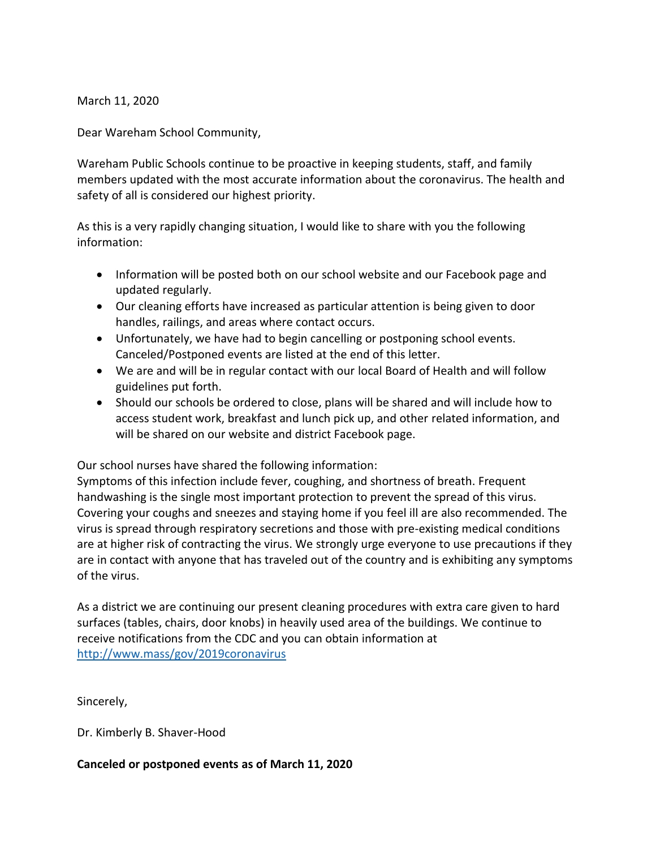March 11, 2020

Dear Wareham School Community,

Wareham Public Schools continue to be proactive in keeping students, staff, and family members updated with the most accurate information about the coronavirus. The health and safety of all is considered our highest priority.

As this is a very rapidly changing situation, I would like to share with you the following information:

- Information will be posted both on our school website and our Facebook page and updated regularly.
- Our cleaning efforts have increased as particular attention is being given to door handles, railings, and areas where contact occurs.
- Unfortunately, we have had to begin cancelling or postponing school events. Canceled/Postponed events are listed at the end of this letter.
- We are and will be in regular contact with our local Board of Health and will follow guidelines put forth.
- Should our schools be ordered to close, plans will be shared and will include how to access student work, breakfast and lunch pick up, and other related information, and will be shared on our website and district Facebook page.

Our school nurses have shared the following information:

Symptoms of this infection include fever, coughing, and shortness of breath. Frequent handwashing is the single most important protection to prevent the spread of this virus. Covering your coughs and sneezes and staying home if you feel ill are also recommended. The virus is spread through respiratory secretions and those with pre-existing medical conditions are at higher risk of contracting the virus. We strongly urge everyone to use precautions if they are in contact with anyone that has traveled out of the country and is exhibiting any symptoms of the virus.

As a district we are continuing our present cleaning procedures with extra care given to hard surfaces (tables, chairs, door knobs) in heavily used area of the buildings. We continue to receive notifications from the CDC and you can obtain information at <http://www.mass/gov/2019coronavirus>

Sincerely,

Dr. Kimberly B. Shaver-Hood

## **Canceled or postponed events as of March 11, 2020**